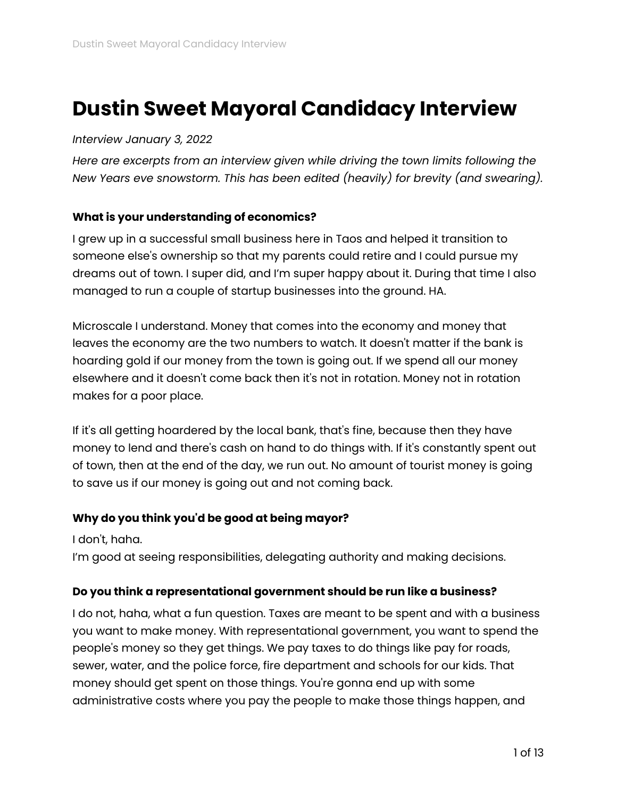# **Dustin Sweet Mayoral Candidacy Interview**

#### *Interview January 3, 2022*

*Here are excerpts from an interview given while driving the town limits following the New Years eve snowstorm. This has been edited (heavily) for brevity (and swearing).*

#### **What is your understanding of economics?**

I grew up in a successful small business here in Taos and helped it transition to someone else's ownership so that my parents could retire and I could pursue my dreams out of town. I super did, and I'm super happy about it. During that time I also managed to run a couple of startup businesses into the ground. HA.

Microscale I understand. Money that comes into the economy and money that leaves the economy are the two numbers to watch. It doesn't matter if the bank is hoarding gold if our money from the town is going out. If we spend all our money elsewhere and it doesn't come back then it's not in rotation. Money not in rotation makes for a poor place.

If it's all getting hoardered by the local bank, that's fine, because then they have money to lend and there's cash on hand to do things with. If it's constantly spent out of town, then at the end of the day, we run out. No amount of tourist money is going to save us if our money is going out and not coming back.

#### **Why do you think you'd be good at being mayor?**

I don't, haha.

I'm good at seeing responsibilities, delegating authority and making decisions.

#### **Do you think a representational government should be run like a business?**

I do not, haha, what a fun question. Taxes are meant to be spent and with a business you want to make money. With representational government, you want to spend the people's money so they get things. We pay taxes to do things like pay for roads, sewer, water, and the police force, fire department and schools for our kids. That money should get spent on those things. You're gonna end up with some administrative costs where you pay the people to make those things happen, and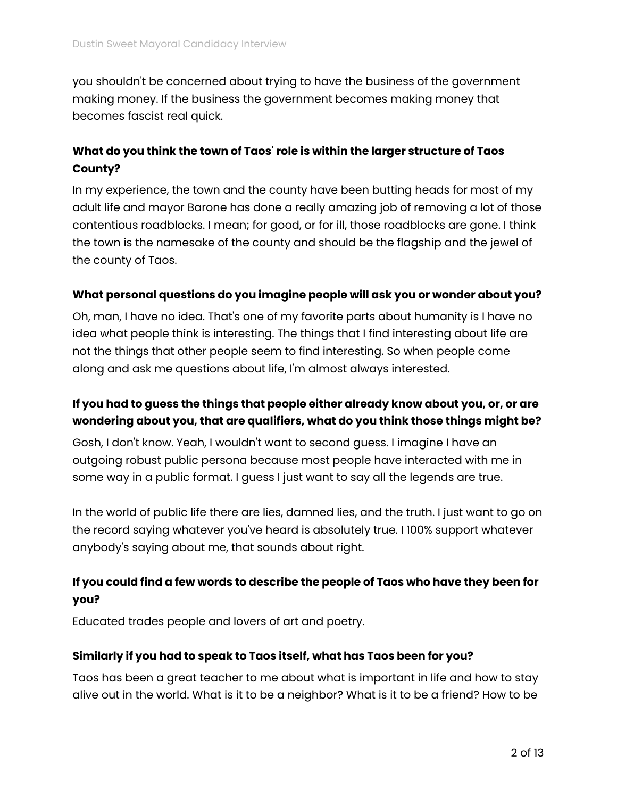you shouldn't be concerned about trying to have the business of the government making money. If the business the government becomes making money that becomes fascist real quick.

## **What do you think the town of Taos' role is within the larger structure of Taos County?**

In my experience, the town and the county have been butting heads for most of my adult life and mayor Barone has done a really amazing job of removing a lot of those contentious roadblocks. I mean; for good, or for ill, those roadblocks are gone. I think the town is the namesake of the county and should be the flagship and the jewel of the county of Taos.

#### **What personal questions do you imagine people will ask you or wonder about you?**

Oh, man, I have no idea. That's one of my favorite parts about humanity is I have no idea what people think is interesting. The things that I find interesting about life are not the things that other people seem to find interesting. So when people come along and ask me questions about life, I'm almost always interested.

## **If you had to guess the things that people either already know about you, or, or are wondering about you, that are qualifiers, what do you think those things might be?**

Gosh, I don't know. Yeah, I wouldn't want to second guess. I imagine I have an outgoing robust public persona because most people have interacted with me in some way in a public format. I guess I just want to say all the legends are true.

In the world of public life there are lies, damned lies, and the truth. I just want to go on the record saying whatever you've heard is absolutely true. I 100% support whatever anybody's saying about me, that sounds about right.

# **If you could find a few words to describe the people of Taos who have they been for you?**

Educated trades people and lovers of art and poetry.

#### **Similarly if you had to speak to Taos itself, what has Taos been for you?**

Taos has been a great teacher to me about what is important in life and how to stay alive out in the world. What is it to be a neighbor? What is it to be a friend? How to be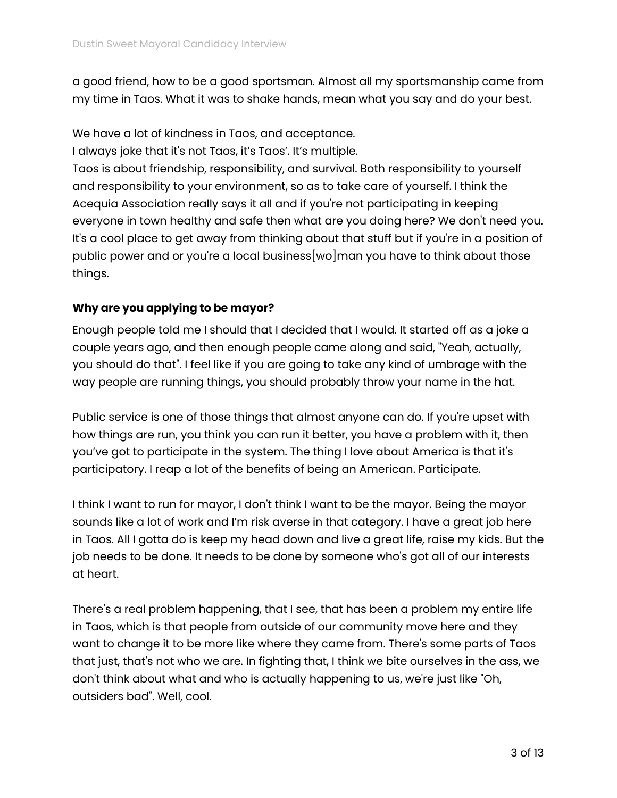a good friend, how to be a good sportsman. Almost all my sportsmanship came from my time in Taos. What it was to shake hands, mean what you say and do your best.

We have a lot of kindness in Taos, and acceptance. I always joke that it's not Taos, it's Taos'. It's multiple. Taos is about friendship, responsibility, and survival. Both responsibility to yourself and responsibility to your environment, so as to take care of yourself. I think the Acequia Association really says it all and if you're not participating in keeping everyone in town healthy and safe then what are you doing here? We don't need you. It's a cool place to get away from thinking about that stuff but if you're in a position of public power and or you're a local business[wo]man you have to think about those things.

#### **Why are you applying to be mayor?**

Enough people told me I should that I decided that I would. It started off as a joke a couple years ago, and then enough people came along and said, "Yeah, actually, you should do that". I feel like if you are going to take any kind of umbrage with the way people are running things, you should probably throw your name in the hat.

Public service is one of those things that almost anyone can do. If you're upset with how things are run, you think you can run it better, you have a problem with it, then you've got to participate in the system. The thing I love about America is that it's participatory. I reap a lot of the benefits of being an American. Participate.

I think I want to run for mayor, I don't think I want to be the mayor. Being the mayor sounds like a lot of work and I'm risk averse in that category. I have a great job here in Taos. All I gotta do is keep my head down and live a great life, raise my kids. But the job needs to be done. It needs to be done by someone who's got all of our interests at heart.

There's a real problem happening, that I see, that has been a problem my entire life in Taos, which is that people from outside of our community move here and they want to change it to be more like where they came from. There's some parts of Taos that just, that's not who we are. In fighting that, I think we bite ourselves in the ass, we don't think about what and who is actually happening to us, we're just like "Oh, outsiders bad". Well, cool.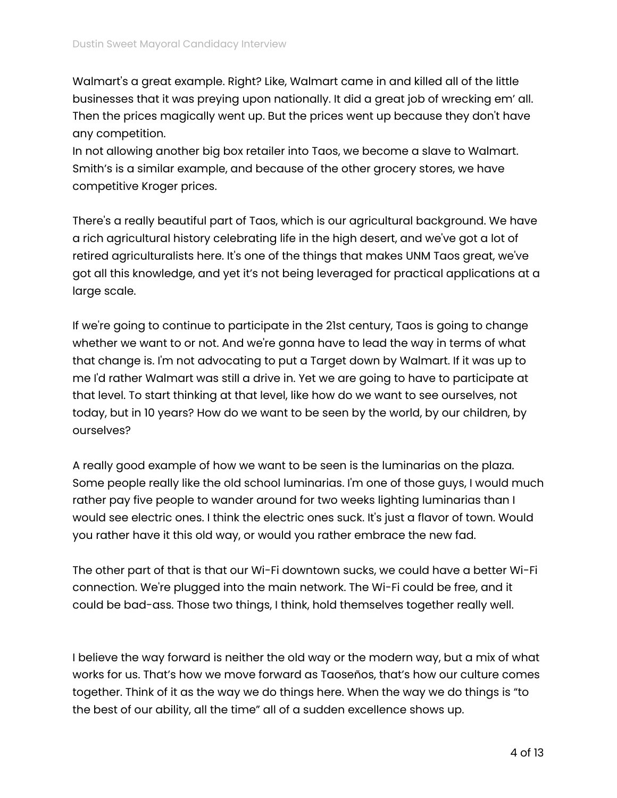Walmart's a great example. Right? Like, Walmart came in and killed all of the little businesses that it was preying upon nationally. It did a great job of wrecking em' all. Then the prices magically went up. But the prices went up because they don't have any competition.

In not allowing another big box retailer into Taos, we become a slave to Walmart. Smith's is a similar example, and because of the other grocery stores, we have competitive Kroger prices.

There's a really beautiful part of Taos, which is our agricultural background. We have a rich agricultural history celebrating life in the high desert, and we've got a lot of retired agriculturalists here. It's one of the things that makes UNM Taos great, we've got all this knowledge, and yet it's not being leveraged for practical applications at a large scale.

If we're going to continue to participate in the 21st century, Taos is going to change whether we want to or not. And we're gonna have to lead the way in terms of what that change is. I'm not advocating to put a Target down by Walmart. If it was up to me I'd rather Walmart was still a drive in. Yet we are going to have to participate at that level. To start thinking at that level, like how do we want to see ourselves, not today, but in 10 years? How do we want to be seen by the world, by our children, by ourselves?

A really good example of how we want to be seen is the luminarias on the plaza. Some people really like the old school luminarias. I'm one of those guys, I would much rather pay five people to wander around for two weeks lighting luminarias than I would see electric ones. I think the electric ones suck. It's just a flavor of town. Would you rather have it this old way, or would you rather embrace the new fad.

The other part of that is that our Wi-Fi downtown sucks, we could have a better Wi-Fi connection. We're plugged into the main network. The Wi-Fi could be free, and it could be bad-ass. Those two things, I think, hold themselves together really well.

I believe the way forward is neither the old way or the modern way, but a mix of what works for us. That's how we move forward as Taoseños, that's how our culture comes together. Think of it as the way we do things here. When the way we do things is "to the best of our ability, all the time" all of a sudden excellence shows up.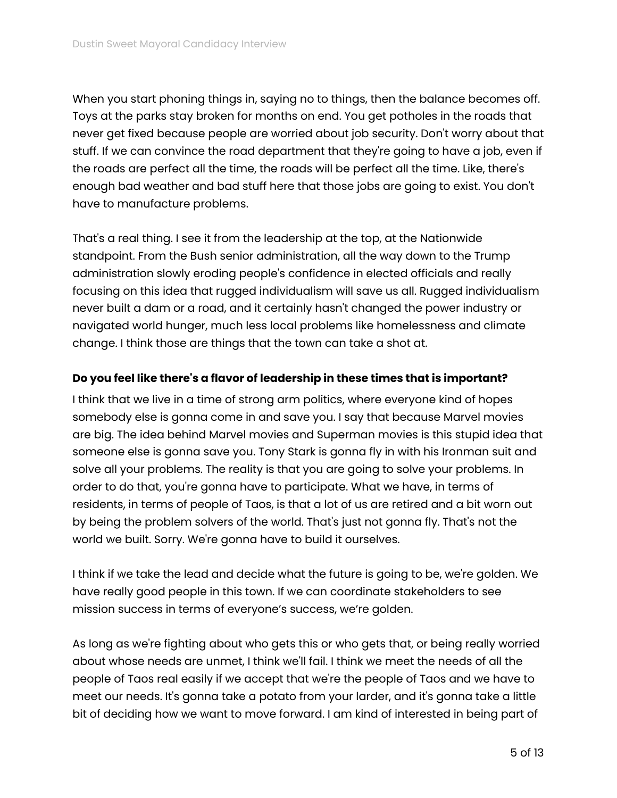When you start phoning things in, saying no to things, then the balance becomes off. Toys at the parks stay broken for months on end. You get potholes in the roads that never get fixed because people are worried about job security. Don't worry about that stuff. If we can convince the road department that they're going to have a job, even if the roads are perfect all the time, the roads will be perfect all the time. Like, there's enough bad weather and bad stuff here that those jobs are going to exist. You don't have to manufacture problems.

That's a real thing. I see it from the leadership at the top, at the Nationwide standpoint. From the Bush senior administration, all the way down to the Trump administration slowly eroding people's confidence in elected officials and really focusing on this idea that rugged individualism will save us all. Rugged individualism never built a dam or a road, and it certainly hasn't changed the power industry or navigated world hunger, much less local problems like homelessness and climate change. I think those are things that the town can take a shot at.

#### **Do you feel like there's a flavor of leadership in these times that is important?**

I think that we live in a time of strong arm politics, where everyone kind of hopes somebody else is gonna come in and save you. I say that because Marvel movies are big. The idea behind Marvel movies and Superman movies is this stupid idea that someone else is gonna save you. Tony Stark is gonna fly in with his Ironman suit and solve all your problems. The reality is that you are going to solve your problems. In order to do that, you're gonna have to participate. What we have, in terms of residents, in terms of people of Taos, is that a lot of us are retired and a bit worn out by being the problem solvers of the world. That's just not gonna fly. That's not the world we built. Sorry. We're gonna have to build it ourselves.

I think if we take the lead and decide what the future is going to be, we're golden. We have really good people in this town. If we can coordinate stakeholders to see mission success in terms of everyone's success, we're golden.

As long as we're fighting about who gets this or who gets that, or being really worried about whose needs are unmet, I think we'll fail. I think we meet the needs of all the people of Taos real easily if we accept that we're the people of Taos and we have to meet our needs. It's gonna take a potato from your larder, and it's gonna take a little bit of deciding how we want to move forward. I am kind of interested in being part of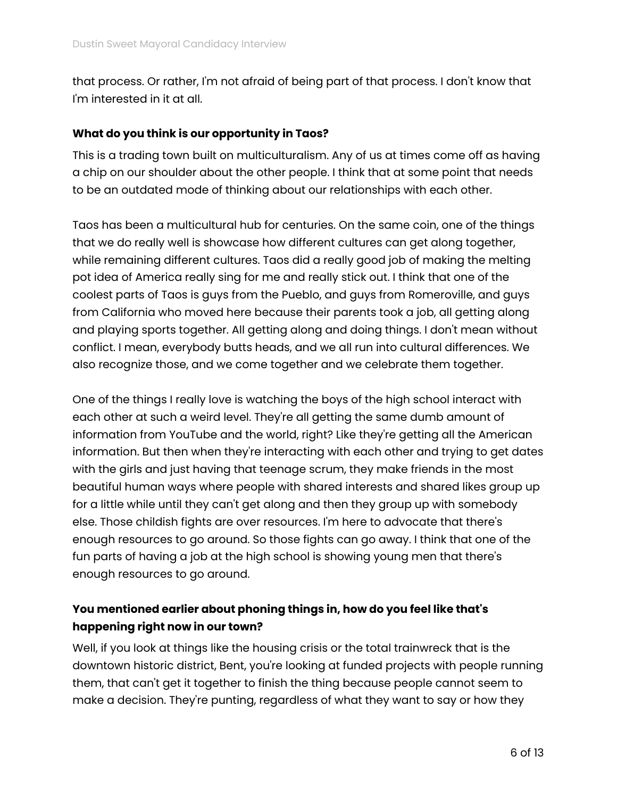that process. Or rather, I'm not afraid of being part of that process. I don't know that I'm interested in it at all.

#### **What do you think is our opportunity in Taos?**

This is a trading town built on multiculturalism. Any of us at times come off as having a chip on our shoulder about the other people. I think that at some point that needs to be an outdated mode of thinking about our relationships with each other.

Taos has been a multicultural hub for centuries. On the same coin, one of the things that we do really well is showcase how different cultures can get along together, while remaining different cultures. Taos did a really good job of making the melting pot idea of America really sing for me and really stick out. I think that one of the coolest parts of Taos is guys from the Pueblo, and guys from Romeroville, and guys from California who moved here because their parents took a job, all getting along and playing sports together. All getting along and doing things. I don't mean without conflict. I mean, everybody butts heads, and we all run into cultural differences. We also recognize those, and we come together and we celebrate them together.

One of the things I really love is watching the boys of the high school interact with each other at such a weird level. They're all getting the same dumb amount of information from YouTube and the world, right? Like they're getting all the American information. But then when they're interacting with each other and trying to get dates with the girls and just having that teenage scrum, they make friends in the most beautiful human ways where people with shared interests and shared likes group up for a little while until they can't get along and then they group up with somebody else. Those childish fights are over resources. I'm here to advocate that there's enough resources to go around. So those fights can go away. I think that one of the fun parts of having a job at the high school is showing young men that there's enough resources to go around.

# **You mentioned earlier about phoning things in, how do you feel like that's happening right now in our town?**

Well, if you look at things like the housing crisis or the total trainwreck that is the downtown historic district, Bent, you're looking at funded projects with people running them, that can't get it together to finish the thing because people cannot seem to make a decision. They're punting, regardless of what they want to say or how they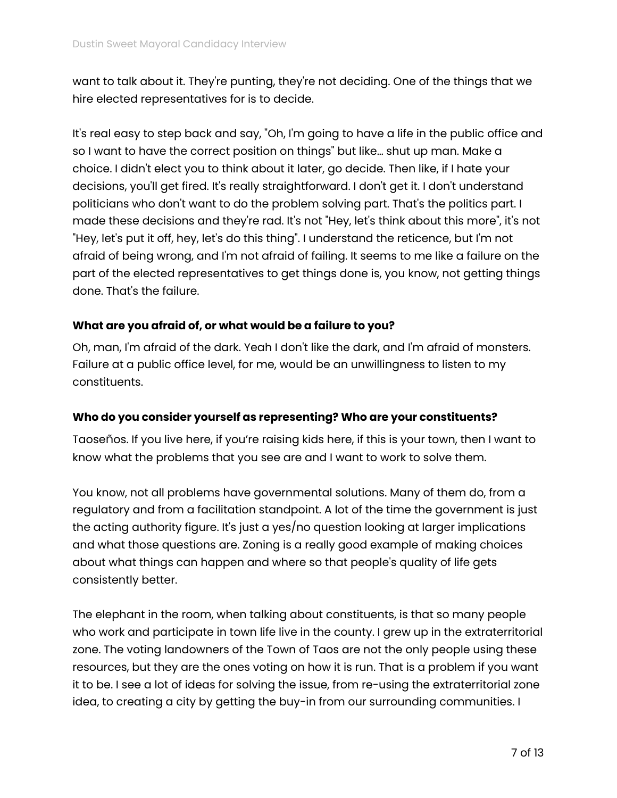want to talk about it. They're punting, they're not deciding. One of the things that we hire elected representatives for is to decide.

It's real easy to step back and say, "Oh, I'm going to have a life in the public office and so I want to have the correct position on things" but like… shut up man. Make a choice. I didn't elect you to think about it later, go decide. Then like, if I hate your decisions, you'll get fired. It's really straightforward. I don't get it. I don't understand politicians who don't want to do the problem solving part. That's the politics part. I made these decisions and they're rad. It's not "Hey, let's think about this more", it's not "Hey, let's put it off, hey, let's do this thing". I understand the reticence, but I'm not afraid of being wrong, and I'm not afraid of failing. It seems to me like a failure on the part of the elected representatives to get things done is, you know, not getting things done. That's the failure.

#### **What are you afraid of, or what would be a failure to you?**

Oh, man, I'm afraid of the dark. Yeah I don't like the dark, and I'm afraid of monsters. Failure at a public office level, for me, would be an unwillingness to listen to my constituents.

#### **Who do you consider yourself as representing? Who are your constituents?**

Taoseños. If you live here, if you're raising kids here, if this is your town, then I want to know what the problems that you see are and I want to work to solve them.

You know, not all problems have governmental solutions. Many of them do, from a regulatory and from a facilitation standpoint. A lot of the time the government is just the acting authority figure. It's just a yes/no question looking at larger implications and what those questions are. Zoning is a really good example of making choices about what things can happen and where so that people's quality of life gets consistently better.

The elephant in the room, when talking about constituents, is that so many people who work and participate in town life live in the county. I grew up in the extraterritorial zone. The voting landowners of the Town of Taos are not the only people using these resources, but they are the ones voting on how it is run. That is a problem if you want it to be. I see a lot of ideas for solving the issue, from re-using the extraterritorial zone idea, to creating a city by getting the buy-in from our surrounding communities. I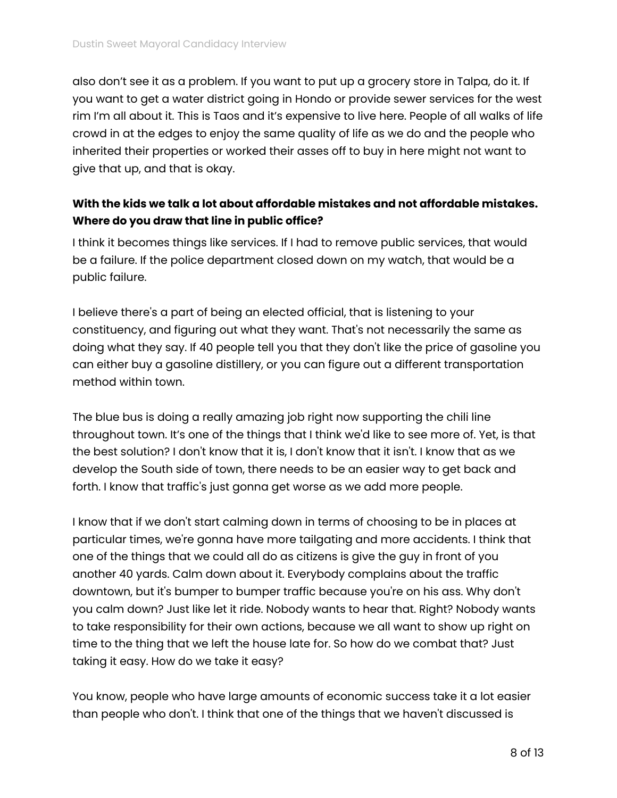also don't see it as a problem. If you want to put up a grocery store in Talpa, do it. If you want to get a water district going in Hondo or provide sewer services for the west rim I'm all about it. This is Taos and it's expensive to live here. People of all walks of life crowd in at the edges to enjoy the same quality of life as we do and the people who inherited their properties or worked their asses off to buy in here might not want to give that up, and that is okay.

## **With the kids we talk a lot about affordable mistakes and not affordable mistakes. Where do you draw that line in public office?**

I think it becomes things like services. If I had to remove public services, that would be a failure. If the police department closed down on my watch, that would be a public failure.

I believe there's a part of being an elected official, that is listening to your constituency, and figuring out what they want. That's not necessarily the same as doing what they say. If 40 people tell you that they don't like the price of gasoline you can either buy a gasoline distillery, or you can figure out a different transportation method within town.

The blue bus is doing a really amazing job right now supporting the chili line throughout town. It's one of the things that I think we'd like to see more of. Yet, is that the best solution? I don't know that it is, I don't know that it isn't. I know that as we develop the South side of town, there needs to be an easier way to get back and forth. I know that traffic's just gonna get worse as we add more people.

I know that if we don't start calming down in terms of choosing to be in places at particular times, we're gonna have more tailgating and more accidents. I think that one of the things that we could all do as citizens is give the guy in front of you another 40 yards. Calm down about it. Everybody complains about the traffic downtown, but it's bumper to bumper traffic because you're on his ass. Why don't you calm down? Just like let it ride. Nobody wants to hear that. Right? Nobody wants to take responsibility for their own actions, because we all want to show up right on time to the thing that we left the house late for. So how do we combat that? Just taking it easy. How do we take it easy?

You know, people who have large amounts of economic success take it a lot easier than people who don't. I think that one of the things that we haven't discussed is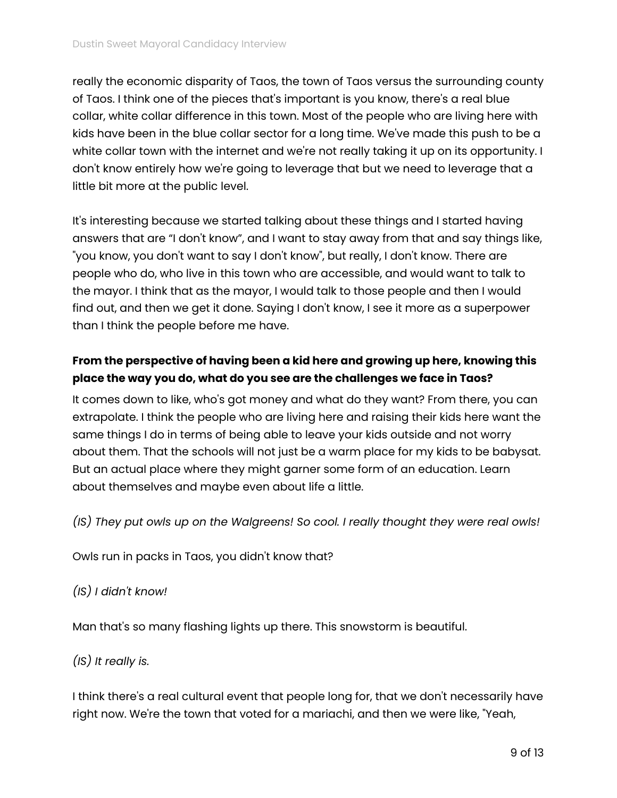really the economic disparity of Taos, the town of Taos versus the surrounding county of Taos. I think one of the pieces that's important is you know, there's a real blue collar, white collar difference in this town. Most of the people who are living here with kids have been in the blue collar sector for a long time. We've made this push to be a white collar town with the internet and we're not really taking it up on its opportunity. I don't know entirely how we're going to leverage that but we need to leverage that a little bit more at the public level.

It's interesting because we started talking about these things and I started having answers that are "I don't know", and I want to stay away from that and say things like, "you know, you don't want to say I don't know", but really, I don't know. There are people who do, who live in this town who are accessible, and would want to talk to the mayor. I think that as the mayor, I would talk to those people and then I would find out, and then we get it done. Saying I don't know, I see it more as a superpower than I think the people before me have.

# **From the perspective of having been a kid here and growing up here, knowing this place the way you do, what do you see are the challenges we face in Taos?**

It comes down to like, who's got money and what do they want? From there, you can extrapolate. I think the people who are living here and raising their kids here want the same things I do in terms of being able to leave your kids outside and not worry about them. That the schools will not just be a warm place for my kids to be babysat. But an actual place where they might garner some form of an education. Learn about themselves and maybe even about life a little.

*(IS) They put owls up on the Walgreens! So cool. I really thought they were real owls!*

Owls run in packs in Taos, you didn't know that?

## *(IS) I didn't know!*

Man that's so many flashing lights up there. This snowstorm is beautiful.

## *(IS) It really is.*

I think there's a real cultural event that people long for, that we don't necessarily have right now. We're the town that voted for a mariachi, and then we were like, "Yeah,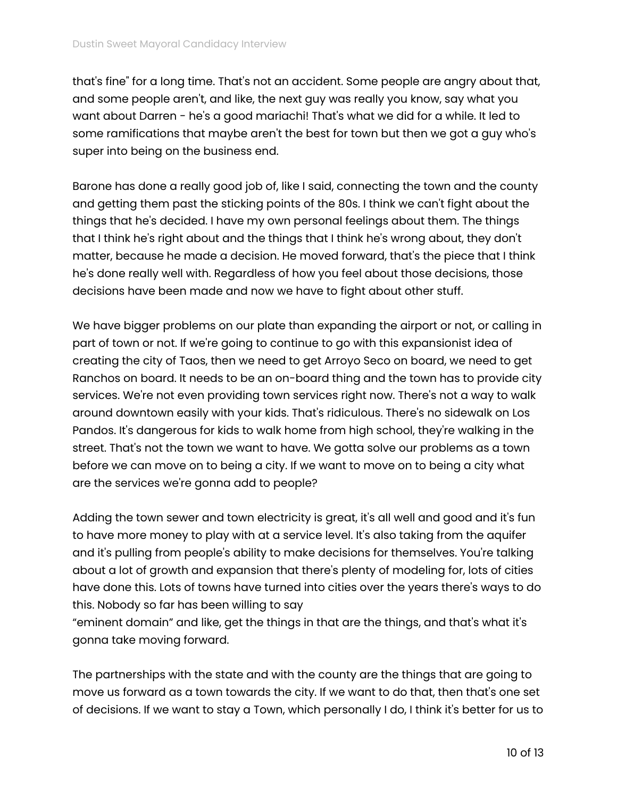that's fine" for a long time. That's not an accident. Some people are angry about that, and some people aren't, and like, the next guy was really you know, say what you want about Darren - he's a good mariachi! That's what we did for a while. It led to some ramifications that maybe aren't the best for town but then we got a guy who's super into being on the business end.

Barone has done a really good job of, like I said, connecting the town and the county and getting them past the sticking points of the 80s. I think we can't fight about the things that he's decided. I have my own personal feelings about them. The things that I think he's right about and the things that I think he's wrong about, they don't matter, because he made a decision. He moved forward, that's the piece that I think he's done really well with. Regardless of how you feel about those decisions, those decisions have been made and now we have to fight about other stuff.

We have bigger problems on our plate than expanding the airport or not, or calling in part of town or not. If we're going to continue to go with this expansionist idea of creating the city of Taos, then we need to get Arroyo Seco on board, we need to get Ranchos on board. It needs to be an on-board thing and the town has to provide city services. We're not even providing town services right now. There's not a way to walk around downtown easily with your kids. That's ridiculous. There's no sidewalk on Los Pandos. It's dangerous for kids to walk home from high school, they're walking in the street. That's not the town we want to have. We gotta solve our problems as a town before we can move on to being a city. If we want to move on to being a city what are the services we're gonna add to people?

Adding the town sewer and town electricity is great, it's all well and good and it's fun to have more money to play with at a service level. It's also taking from the aquifer and it's pulling from people's ability to make decisions for themselves. You're talking about a lot of growth and expansion that there's plenty of modeling for, lots of cities have done this. Lots of towns have turned into cities over the years there's ways to do this. Nobody so far has been willing to say

"eminent domain" and like, get the things in that are the things, and that's what it's gonna take moving forward.

The partnerships with the state and with the county are the things that are going to move us forward as a town towards the city. If we want to do that, then that's one set of decisions. If we want to stay a Town, which personally I do, I think it's better for us to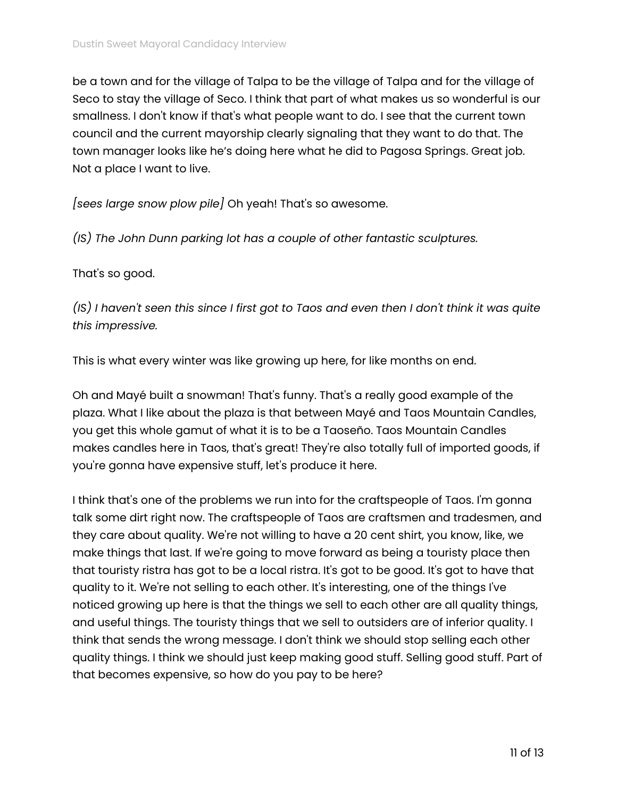be a town and for the village of Talpa to be the village of Talpa and for the village of Seco to stay the village of Seco. I think that part of what makes us so wonderful is our smallness. I don't know if that's what people want to do. I see that the current town council and the current mayorship clearly signaling that they want to do that. The town manager looks like he's doing here what he did to Pagosa Springs. Great job. Not a place I want to live.

*[sees large snow plow pile]* Oh yeah! That's so awesome.

*(IS) The John Dunn parking lot has a couple of other fantastic sculptures.*

#### That's so good.

(IS) I haven't seen this since I first got to Taos and even then I don't think it was quite *this impressive.*

This is what every winter was like growing up here, for like months on end.

Oh and Mayé built a snowman! That's funny. That's a really good example of the plaza. What I like about the plaza is that between Mayé and Taos Mountain Candles, you get this whole gamut of what it is to be a Taoseño. Taos Mountain Candles makes candles here in Taos, that's great! They're also totally full of imported goods, if you're gonna have expensive stuff, let's produce it here.

I think that's one of the problems we run into for the craftspeople of Taos. I'm gonna talk some dirt right now. The craftspeople of Taos are craftsmen and tradesmen, and they care about quality. We're not willing to have a 20 cent shirt, you know, like, we make things that last. If we're going to move forward as being a touristy place then that touristy ristra has got to be a local ristra. It's got to be good. It's got to have that quality to it. We're not selling to each other. It's interesting, one of the things I've noticed growing up here is that the things we sell to each other are all quality things, and useful things. The touristy things that we sell to outsiders are of inferior quality. I think that sends the wrong message. I don't think we should stop selling each other quality things. I think we should just keep making good stuff. Selling good stuff. Part of that becomes expensive, so how do you pay to be here?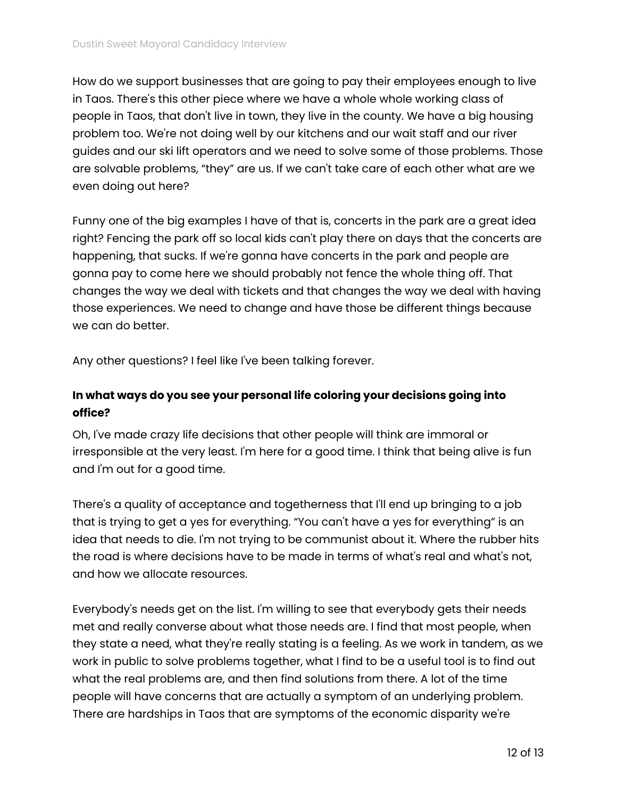How do we support businesses that are going to pay their employees enough to live in Taos. There's this other piece where we have a whole whole working class of people in Taos, that don't live in town, they live in the county. We have a big housing problem too. We're not doing well by our kitchens and our wait staff and our river guides and our ski lift operators and we need to solve some of those problems. Those are solvable problems, "they" are us. If we can't take care of each other what are we even doing out here?

Funny one of the big examples I have of that is, concerts in the park are a great idea right? Fencing the park off so local kids can't play there on days that the concerts are happening, that sucks. If we're gonna have concerts in the park and people are gonna pay to come here we should probably not fence the whole thing off. That changes the way we deal with tickets and that changes the way we deal with having those experiences. We need to change and have those be different things because we can do better.

Any other questions? I feel like I've been talking forever.

## **In what ways do you see your personal life coloring your decisions going into office?**

Oh, I've made crazy life decisions that other people will think are immoral or irresponsible at the very least. I'm here for a good time. I think that being alive is fun and I'm out for a good time.

There's a quality of acceptance and togetherness that I'll end up bringing to a job that is trying to get a yes for everything. "You can't have a yes for everything" is an idea that needs to die. I'm not trying to be communist about it. Where the rubber hits the road is where decisions have to be made in terms of what's real and what's not, and how we allocate resources.

Everybody's needs get on the list. I'm willing to see that everybody gets their needs met and really converse about what those needs are. I find that most people, when they state a need, what they're really stating is a feeling. As we work in tandem, as we work in public to solve problems together, what I find to be a useful tool is to find out what the real problems are, and then find solutions from there. A lot of the time people will have concerns that are actually a symptom of an underlying problem. There are hardships in Taos that are symptoms of the economic disparity we're